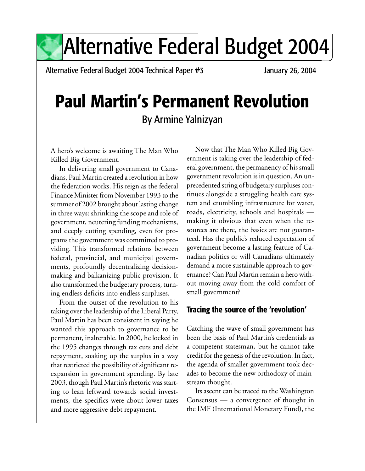Alternative Federal Budget 2004 Technical Paper #3 January 26, 2004

# **Paul Martin's Permanent Revolution** By Armine Yalnizyan

A hero's welcome is awaiting The Man Who Killed Big Government.

In delivering small government to Canadians, Paul Martin created a revolution in how the federation works. His reign as the federal Finance Minister from November 1993 to the summer of 2002 brought about lasting change in three ways: shrinking the scope and role of government, neutering funding mechanisms, and deeply cutting spending, even for programs the government was committed to providing. This transformed relations between federal, provincial, and municipal governments, profoundly decentralizing decisionmaking and balkanizing public provision. It also transformed the budgetary process, turning endless deficits into endless surpluses.

From the outset of the revolution to his taking over the leadership of the Liberal Party, Paul Martin has been consistent in saying he wanted this approach to governance to be permanent, inalterable. In 2000, he locked in the 1995 changes through tax cuts and debt repayment, soaking up the surplus in a way that restricted the possibility of significant reexpansion in government spending. By late 2003, though Paul Martin's rhetoric was starting to lean leftward towards social investments, the specifics were about lower taxes and more aggressive debt repayment.

Now that The Man Who Killed Big Government is taking over the leadership of federal government, the permanency of his small government revolution is in question. An unprecedented string of budgetary surpluses continues alongside a struggling health care system and crumbling infrastructure for water, roads, electricity, schools and hospitals making it obvious that even when the resources are there, the basics are not guaranteed. Has the public's reduced expectation of government become a lasting feature of Canadian politics or will Canadians ultimately demand a more sustainable approach to governance? Can Paul Martin remain a hero without moving away from the cold comfort of small government?

# **Tracing the source of the 'revolution'**

Catching the wave of small government has been the basis of Paul Martin's credentials as a competent statesman, but he cannot take credit for the genesis of the revolution. In fact, the agenda of smaller government took decades to become the new orthodoxy of mainstream thought.

Its ascent can be traced to the Washington Consensus — a convergence of thought in the IMF (International Monetary Fund), the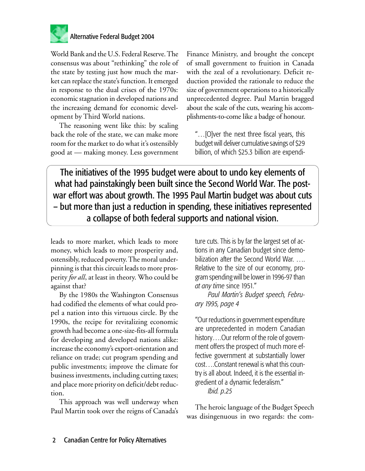

World Bank and the U.S. Federal Reserve. The consensus was about "rethinking" the role of the state by testing just how much the market can replace the state's function. It emerged in response to the dual crises of the 1970s: economic stagnation in developed nations and the increasing demand for economic development by Third World nations.

The reasoning went like this: by scaling back the role of the state, we can make more room for the market to do what it's ostensibly good at — making money. Less government Finance Ministry, and brought the concept of small government to fruition in Canada with the zeal of a revolutionary. Deficit reduction provided the rationale to reduce the size of government operations to a historically unprecedented degree. Paul Martin bragged about the scale of the cuts, wearing his accomplishments-to-come like a badge of honour.

"…[O]ver the next three fiscal years, this budget will deliver cumulative savings of \$29 billion, of which \$25.3 billion are expendi-

The initiatives of the 1995 budget were about to undo key elements of what had painstakingly been built since the Second World War. The postwar effort was about growth. The 1995 Paul Martin budget was about cuts – but more than just a reduction in spending, these initiatives represented a collapse of both federal supports and national vision.

leads to more market, which leads to more money, which leads to more prosperity and, ostensibly, reduced poverty. The moral underpinning is that this circuit leads to more prosperity *for all*, at least in theory. Who could be against that?

By the 1980s the Washington Consensus had codified the elements of what could propel a nation into this virtuous circle. By the 1990s, the recipe for revitalizing economic growth had become a one-size-fits-all formula for developing and developed nations alike: increase the economy's export-orientation and reliance on trade; cut program spending and public investments; improve the climate for business investments, including cutting taxes; and place more priority on deficit/debt reduction.

This approach was well underway when Paul Martin took over the reigns of Canada's ture cuts. This is by far the largest set of actions in any Canadian budget since demobilization after the Second World War. …. Relative to the size of our economy, program spending will be lower in 1996-97 than *at any time* since 1951."

*Paul Martin's Budget speech, February 1995, page 4*

"Our reductions in government expenditure are unprecedented in modern Canadian history....Our reform of the role of government offers the prospect of much more effective government at substantially lower cost….Constant renewal is what this country is all about. Indeed, it is the essential ingredient of a dynamic federalism."

*Ibid. p.25*

The heroic language of the Budget Speech was disingenuous in two regards: the com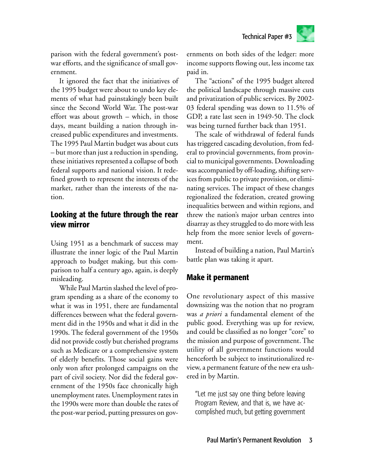parison with the federal government's postwar efforts, and the significance of small government.

It ignored the fact that the initiatives of the 1995 budget were about to undo key elements of what had painstakingly been built since the Second World War. The post-war effort was about growth – which, in those days, meant building a nation through increased public expenditures and investments. The 1995 Paul Martin budget was about cuts – but more than just a reduction in spending, these initiatives represented a collapse of both federal supports and national vision. It redefined growth to represent the interests of the market, rather than the interests of the nation.

# **Looking at the future through the rear view mirror**

Using 1951 as a benchmark of success may illustrate the inner logic of the Paul Martin approach to budget making, but this comparison to half a century ago, again, is deeply misleading.

While Paul Martin slashed the level of program spending as a share of the economy to what it was in 1951, there are fundamental differences between what the federal government did in the 1950s and what it did in the 1990s. The federal government of the 1950s did not provide costly but cherished programs such as Medicare or a comprehensive system of elderly benefits. Those social gains were only won after prolonged campaigns on the part of civil society. Nor did the federal government of the 1950s face chronically high unemployment rates. Unemployment rates in the 1990s were more than double the rates of the post-war period, putting pressures on governments on both sides of the ledger: more income supports flowing out, less income tax paid in.

The "actions" of the 1995 budget altered the political landscape through massive cuts and privatization of public services. By 2002- 03 federal spending was down to 11.5% of GDP, a rate last seen in 1949-50. The clock was being turned further back than 1951.

The scale of withdrawal of federal funds has triggered cascading devolution, from federal to provincial governments, from provincial to municipal governments. Downloading was accompanied by off-loading, shifting services from public to private provision, or eliminating services. The impact of these changes regionalized the federation, created growing inequalities between and within regions, and threw the nation's major urban centres into disarray as they struggled to do more with less help from the more senior levels of government.

Instead of building a nation, Paul Martin's battle plan was taking it apart.

# **Make it permanent**

One revolutionary aspect of this massive downsizing was the notion that no program was *a priori* a fundamental element of the public good. Everything was up for review, and could be classified as no longer "core" to the mission and purpose of government. The utility of all government functions would henceforth be subject to institutionalized review, a permanent feature of the new era ushered in by Martin.

"Let me just say one thing before leaving Program Review, and that is, we have accomplished much, but getting government

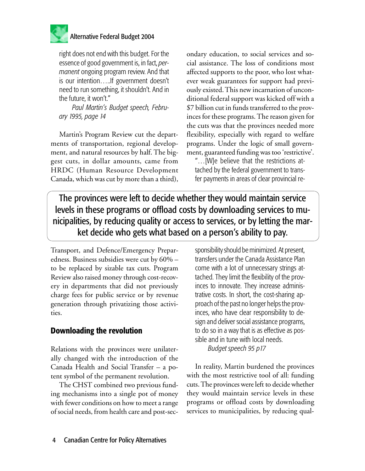

right does not end with this budget. For the essence of good government is, in fact, *permanent* ongoing program review. And that is our intention…..If government doesn't need to run something, it shouldn't. And in the future, it won't."

*Paul Martin's Budget speech, February 1995, page 14*

Martin's Program Review cut the departments of transportation, regional development, and natural resources by half. The biggest cuts, in dollar amounts, came from HRDC (Human Resource Development Canada, which was cut by more than a third), ondary education, to social services and social assistance. The loss of conditions most affected supports to the poor, who lost whatever weak guarantees for support had previously existed. This new incarnation of unconditional federal support was kicked off with a \$7 billion cut in funds transferred to the provinces for these programs. The reason given for the cuts was that the provinces needed more flexibility, especially with regard to welfare programs. Under the logic of small government, guaranteed funding was too 'restrictive'.

"…[W]e believe that the restrictions attached by the federal government to transfer payments in areas of clear provincial re-

The provinces were left to decide whether they would maintain service levels in these programs or offload costs by downloading services to municipalities, by reducing quality or access to services, or by letting the market decide who gets what based on a person's ability to pay.

Transport, and Defence/Emergency Preparedness. Business subsidies were cut by 60% – to be replaced by sizable tax cuts. Program Review also raised money through cost-recovery in departments that did not previously charge fees for public service or by revenue generation through privatizing those activities.

# **Downloading the revolution**

Relations with the provinces were unilaterally changed with the introduction of the Canada Health and Social Transfer – a potent symbol of the permanent revolution.

The CHST combined two previous funding mechanisms into a single pot of money with fewer conditions on how to meet a range of social needs, from health care and post-secsponsibility should be minimized. At present, transfers under the Canada Assistance Plan come with a lot of unnecessary strings attached. They limit the flexibility of the provinces to innovate. They increase administrative costs. In short, the cost-sharing approach of the past no longer helps the provinces, who have clear responsibility to design and deliver social assistance programs, to do so in a way that is as effective as possible and in tune with local needs. *Budget speech 95 p17*

In reality, Martin burdened the provinces with the most restrictive tool of all: funding cuts. The provinces were left to decide whether they would maintain service levels in these programs or offload costs by downloading services to municipalities, by reducing qual-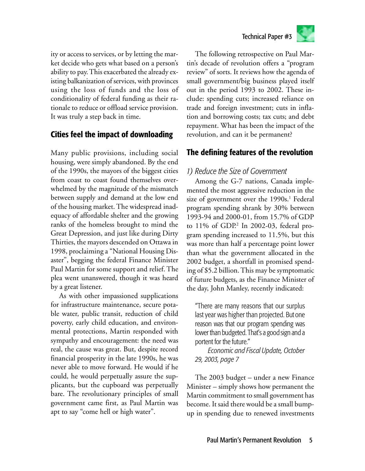



ity or access to services, or by letting the market decide who gets what based on a person's ability to pay. This exacerbated the already existing balkanization of services, with provinces using the loss of funds and the loss of conditionality of federal funding as their rationale to reduce or offload service provision. It was truly a step back in time.

# **Cities feel the impact of downloading**

Many public provisions, including social housing, were simply abandoned. By the end of the 1990s, the mayors of the biggest cities from coast to coast found themselves overwhelmed by the magnitude of the mismatch between supply and demand at the low end of the housing market. The widespread inadequacy of affordable shelter and the growing ranks of the homeless brought to mind the Great Depression, and just like during Dirty Thirties, the mayors descended on Ottawa in 1998, proclaiming a "National Housing Disaster", begging the federal Finance Minister Paul Martin for some support and relief. The plea went unanswered, though it was heard by a great listener.

As with other impassioned supplications for infrastructure maintenance, secure potable water, public transit, reduction of child poverty, early child education, and environmental protections, Martin responded with sympathy and encouragement: the need was real, the cause was great. But, despite record financial prosperity in the late 1990s, he was never able to move forward. He would if he could, he would perpetually assure the supplicants, but the cupboard was perpetually bare. The revolutionary principles of small government came first, as Paul Martin was apt to say "come hell or high water".

The following retrospective on Paul Martin's decade of revolution offers a "program review" of sorts. It reviews how the agenda of small government/big business played itself out in the period 1993 to 2002. These include: spending cuts; increased reliance on trade and foreign investment; cuts in inflation and borrowing costs; tax cuts; and debt repayment. What has been the impact of the revolution, and can it be permanent?

# **The defining features of the revolution**

# *1) Reduce the Size of Government*

Among the G-7 nations, Canada implemented the most aggressive reduction in the size of government over the 1990s.<sup>1</sup> Federal program spending shrank by 30% between 1993-94 and 2000-01, from 15.7% of GDP to 11% of GDP.<sup>2</sup> In 2002-03, federal program spending increased to 11.5%, but this was more than half a percentage point lower than what the government allocated in the 2002 budget, a shortfall in promised spending of \$5.2 billion. This may be symptomatic of future budgets, as the Finance Minister of the day, John Manley, recently indicated:

"There are many reasons that our surplus last year was higher than projected. But one reason was that our program spending was lower than budgeted. That's a good sign and a portent for the future."

*Economic and Fiscal Update, October 29, 2003, page 7*

The 2003 budget – under a new Finance Minister – simply shows how permanent the Martin commitment to small government has become. It said there would be a small bumpup in spending due to renewed investments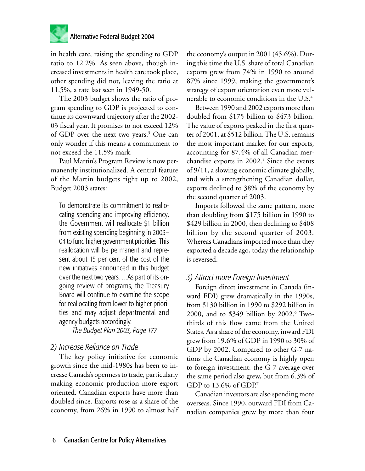

in health care, raising the spending to GDP ratio to 12.2%. As seen above, though increased investments in health care took place, other spending did not, leaving the ratio at 11.5%, a rate last seen in 1949-50.

The 2003 budget shows the ratio of program spending to GDP is projected to continue its downward trajectory after the 2002- 03 fiscal year. It promises to not exceed 12% of GDP over the next two years.<sup>3</sup> One can only wonder if this means a commitment to not exceed the 11.5% mark.

Paul Martin's Program Review is now permanently institutionalized. A central feature of the Martin budgets right up to 2002, Budget 2003 states:

To demonstrate its commitment to reallocating spending and improving efficiency, the Government will reallocate \$1 billion from existing spending beginning in 2003– 04 to fund higher government priorities. This reallocation will be permanent and represent about 15 per cent of the cost of the new initiatives announced in this budget over the next two years….As part of its ongoing review of programs, the Treasury Board will continue to examine the scope for reallocating from lower to higher priorities and may adjust departmental and agency budgets accordingly.

*The Budget Plan 2003, Page 177*

# *2) Increase Reliance on Trade*

The key policy initiative for economic growth since the mid-1980s has been to increase Canada's openness to trade, particularly making economic production more export oriented. Canadian exports have more than doubled since. Exports rose as a share of the economy, from 26% in 1990 to almost half the economy's output in 2001 (45.6%). During this time the U.S. share of total Canadian exports grew from 74% in 1990 to around 87% since 1999, making the government's strategy of export orientation even more vulnerable to economic conditions in the U.S.<sup>4</sup>

Between 1990 and 2002 exports more than doubled from \$175 billion to \$473 billion. The value of exports peaked in the first quarter of 2001, at \$512 billion. The U.S. remains the most important market for our exports, accounting for 87.4% of all Canadian merchandise exports in 2002.<sup>5</sup> Since the events of 9/11, a slowing economic climate globally, and with a strengthening Canadian dollar, exports declined to 38% of the economy by the second quarter of 2003.

Imports followed the same pattern, more than doubling from \$175 billion in 1990 to \$429 billion in 2000, then declining to \$408 billion by the second quarter of 2003. Whereas Canadians imported more than they exported a decade ago, today the relationship is reversed.

# *3) Attract more Foreign Investment*

Foreign direct investment in Canada (inward FDI) grew dramatically in the 1990s, from \$130 billion in 1990 to \$292 billion in 2000, and to \$349 billion by 2002.<sup>6</sup> Twothirds of this flow came from the United States. As a share of the economy, inward FDI grew from 19.6% of GDP in 1990 to 30% of GDP by 2002. Compared to other G-7 nations the Canadian economy is highly open to foreign investment: the G-7 average over the same period also grew, but from 6.3% of GDP to 13.6% of GDP.<sup>7</sup>

Canadian investors are also spending more overseas. Since 1990, outward FDI from Canadian companies grew by more than four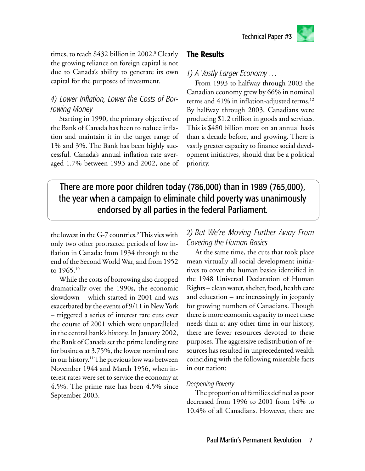times, to reach \$432 billion in 2002**.** 8 Clearly the growing reliance on foreign capital is not due to Canada's ability to generate its own capital for the purposes of investment.

# *4) Lower Inflation, Lower the Costs of Borrowing Money*

Starting in 1990, the primary objective of the Bank of Canada has been to reduce inflation and maintain it in the target range of 1% and 3%. The Bank has been highly successful. Canada's annual inflation rate averaged 1.7% between 1993 and 2002, one of

# **The Results**

*1) A Vastly Larger Economy …*

From 1993 to halfway through 2003 the Canadian economy grew by 66% in nominal terms and  $41\%$  in inflation-adjusted terms.<sup>12</sup> By halfway through 2003, Canadians were producing \$1.2 trillion in goods and services. This is \$480 billion more on an annual basis than a decade before, and growing. There is vastly greater capacity to finance social development initiatives, should that be a political priority.

There are more poor children today (786,000) than in 1989 (765,000), the year when a campaign to eliminate child poverty was unanimously endorsed by all parties in the federal Parliament.

the lowest in the G-7 countries.<sup>9</sup> This vies with only two other protracted periods of low inflation in Canada: from 1934 through to the end of the Second World War, and from 1952 to 1965.<sup>10</sup>

While the costs of borrowing also dropped dramatically over the 1990s, the economic slowdown – which started in 2001 and was exacerbated by the events of 9/11 in New York – triggered a series of interest rate cuts over the course of 2001 which were unparalleled in the central bank's history. In January 2002, the Bank of Canada set the prime lending rate for business at 3.75%, the lowest nominal rate in our history.<sup>11</sup> The previous low was between November 1944 and March 1956, when interest rates were set to service the economy at 4.5%. The prime rate has been 4.5% since September 2003.

# *2) But We're Moving Further Away From Covering the Human Basics*

At the same time, the cuts that took place mean virtually all social development initiatives to cover the human basics identified in the 1948 Universal Declaration of Human Rights – clean water, shelter, food, health care and education – are increasingly in jeopardy for growing numbers of Canadians. Though there is more economic capacity to meet these needs than at any other time in our history, there are fewer resources devoted to these purposes. The aggressive redistribution of resources has resulted in unprecedented wealth coinciding with the following miserable facts in our nation:

#### *Deepening Poverty*

The proportion of families defined as poor decreased from 1996 to 2001 from 14% to 10.4% of all Canadians. However, there are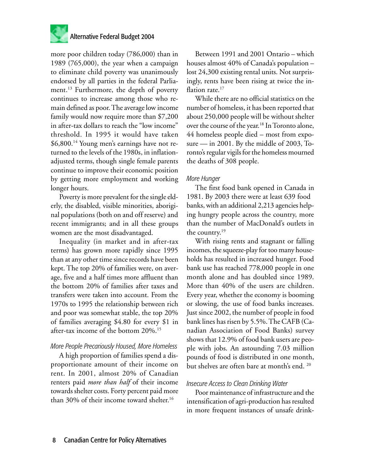

more poor children today (786,000) than in 1989 (765,000), the year when a campaign to eliminate child poverty was unanimously endorsed by all parties in the federal Parliament.<sup>13</sup> Furthermore, the depth of poverty continues to increase among those who remain defined as poor. The average low income family would now require more than \$7,200 in after-tax dollars to reach the "low income" threshold. In 1995 it would have taken \$6,800.<sup>14</sup> Young men's earnings have not returned to the levels of the 1980s, in inflationadjusted terms, though single female parents continue to improve their economic position by getting more employment and working longer hours.

Poverty is more prevalent for the single elderly, the disabled, visible minorities, aboriginal populations (both on and off reserve) and recent immigrants; and in all these groups women are the most disadvantaged.

Inequality (in market and in after-tax terms) has grown more rapidly since 1995 than at any other time since records have been kept. The top 20% of families were, on average, five and a half times more affluent than the bottom 20% of families after taxes and transfers were taken into account. From the 1970s to 1995 the relationship between rich and poor was somewhat stable, the top 20% of families averaging \$4.80 for every \$1 in after-tax income of the bottom 20%.<sup>15</sup>

#### *More People Precariously Housed, More Homeless*

A high proportion of families spend a disproportionate amount of their income on rent. In 2001, almost 20% of Canadian renters paid *more than half* of their income towards shelter costs. Forty percent paid more than 30% of their income toward shelter.<sup>16</sup>

Between 1991 and 2001 Ontario – which houses almost 40% of Canada's population – lost 24,300 existing rental units. Not surprisingly, rents have been rising at twice the inflation rate.<sup>17</sup>

While there are no official statistics on the number of homeless, it has been reported that about 250,000 people will be without shelter over the course of the year.<sup>18</sup> In Toronto alone, 44 homeless people died – most from exposure — in 2001. By the middle of 2003, Toronto's regular vigils for the homeless mourned the deaths of 308 people.

#### *More Hunger*

The first food bank opened in Canada in 1981. By 2003 there were at least 639 food banks, with an additional 2,213 agencies helping hungry people across the country, more than the number of MacDonald's outlets in the country.<sup>19</sup>

With rising rents and stagnant or falling incomes, the squeeze-play for too many households has resulted in increased hunger. Food bank use has reached 778,000 people in one month alone and has doubled since 1989. More than 40% of the users are children. Every year, whether the economy is booming or slowing, the use of food banks increases. Just since 2002, the number of people in food bank lines has risen by 5.5%. The CAFB (Canadian Association of Food Banks) survey shows that 12.9% of food bank users are people with jobs. An astounding 7.03 million pounds of food is distributed in one month, but shelves are often bare at month's end. <sup>20</sup>

#### *Insecure Access to Clean Drinking Water*

Poor maintenance of infrastructure and the intensification of agri-production has resulted in more frequent instances of unsafe drink-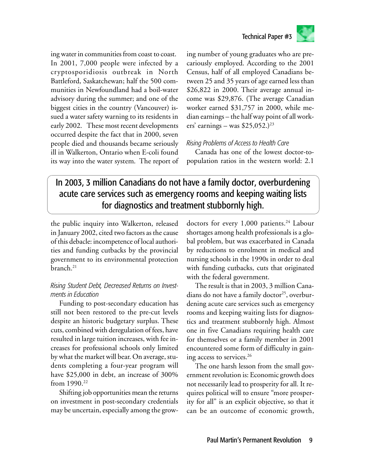

ing water in communities from coast to coast. In 2001, 7,000 people were infected by a cryptosporidiosis outbreak in North Battleford, Saskatchewan; half the 500 communities in Newfoundland had a boil-water advisory during the summer; and one of the biggest cities in the country (Vancouver) issued a water safety warning to its residents in early 2002. These most recent developments occurred despite the fact that in 2000, seven people died and thousands became seriously ill in Walkerton, Ontario when E-coli found its way into the water system. The report of ing number of young graduates who are precariously employed. According to the 2001 Census, half of all employed Canadians between 25 and 35 years of age earned less than \$26,822 in 2000. Their average annual income was \$29,876. (The average Canadian worker earned \$31,757 in 2000, while median earnings – the half way point of all workers' earnings – was  $$25,052.<sup>23</sup>$ 

Technical Paper #3

#### *Rising Problems of Access to Health Care*

Canada has one of the lowest doctor-topopulation ratios in the western world: 2.1

# In 2003, 3 million Canadians do not have a family doctor, overburdening acute care services such as emergency rooms and keeping waiting lists for diagnostics and treatment stubbornly high.

the public inquiry into Walkerton, released in January 2002, cited two factors as the cause of this debacle: incompetence of local authorities and funding cutbacks by the provincial government to its environmental protection branch.<sup>21</sup>

#### *Rising Student Debt, Decreased Returns on Investments in Education*

Funding to post-secondary education has still not been restored to the pre-cut levels despite an historic budgetary surplus. These cuts, combined with deregulation of fees, have resulted in large tuition increases, with fee increases for professional schools only limited by what the market will bear. On average, students completing a four-year program will have \$25,000 in debt, an increase of 300% from 1990.<sup>22</sup>

Shifting job opportunities mean the returns on investment in post-secondary credentials may be uncertain, especially among the growdoctors for every 1,000 patients.<sup>24</sup> Labour shortages among health professionals is a global problem, but was exacerbated in Canada by reductions to enrolment in medical and nursing schools in the 1990s in order to deal with funding cutbacks, cuts that originated with the federal government.

The result is that in 2003, 3 million Canadians do not have a family doctor<sup>25</sup>, overburdening acute care services such as emergency rooms and keeping waiting lists for diagnostics and treatment stubbornly high. Almost one in five Canadians requiring health care for themselves or a family member in 2001 encountered some form of difficulty in gaining access to services.<sup>26</sup>

The one harsh lesson from the small government revolution is: Economic growth does not necessarily lead to prosperity for all. It requires political will to ensure "more prosperity for all" is an explicit objective, so that it can be an outcome of economic growth,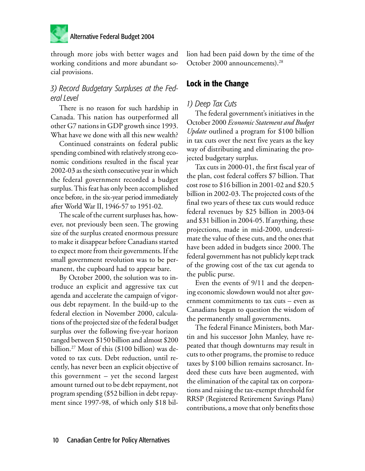

through more jobs with better wages and working conditions and more abundant social provisions.

### *3) Record Budgetary Surpluses at the Federal Level*

There is no reason for such hardship in Canada. This nation has outperformed all other G7 nations in GDP growth since 1993. What have we done with all this new wealth?

Continued constraints on federal public spending combined with relatively strong economic conditions resulted in the fiscal year 2002-03 as the sixth consecutive year in which the federal government recorded a budget surplus. This feat has only been accomplished once before, in the six-year period immediately after World War II, 1946-57 to 1951-02.

The scale of the current surpluses has, however, not previously been seen. The growing size of the surplus created enormous pressure to make it disappear before Canadians started to expect more from their governments. If the small government revolution was to be permanent, the cupboard had to appear bare.

By October 2000, the solution was to introduce an explicit and aggressive tax cut agenda and accelerate the campaign of vigorous debt repayment. In the build-up to the federal election in November 2000, calculations of the projected size of the federal budget surplus over the following five-year horizon ranged between \$150 billion and almost \$200 billion.27 Most of this (\$100 billion) was devoted to tax cuts. Debt reduction, until recently, has never been an explicit objective of this government – yet the second largest amount turned out to be debt repayment, not program spending (\$52 billion in debt repayment since 1997-98, of which only \$18 billion had been paid down by the time of the October 2000 announcements).<sup>28</sup>

#### **Lock in the Change**

#### *1) Deep Tax Cuts*

The federal government's initiatives in the October 2000 *Economic Statement and Budget Update* outlined a program for \$100 billion in tax cuts over the next five years as the key way of distributing and eliminating the projected budgetary surplus.

Tax cuts in 2000-01, the first fiscal year of the plan, cost federal coffers \$7 billion. That cost rose to \$16 billion in 2001-02 and \$20.5 billion in 2002-03. The projected costs of the final two years of these tax cuts would reduce federal revenues by \$25 billion in 2003-04 and \$31 billion in 2004-05. If anything, these projections, made in mid-2000, underestimate the value of these cuts, and the ones that have been added in budgets since 2000. The federal government has not publicly kept track of the growing cost of the tax cut agenda to the public purse.

Even the events of 9/11 and the deepening economic slowdown would not alter government commitments to tax cuts – even as Canadians began to question the wisdom of the permanently small governments.

The federal Finance Ministers, both Martin and his successor John Manley, have repeated that though downturns may result in cuts to other programs, the promise to reduce taxes by \$100 billion remains sacrosanct. Indeed these cuts have been augmented, with the elimination of the capital tax on corporations and raising the tax-exempt threshold for RRSP (Registered Retirement Savings Plans) contributions, a move that only benefits those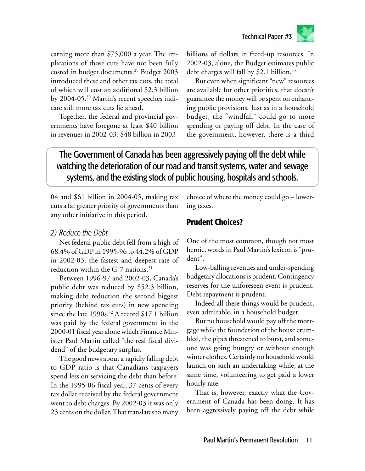

earning more than \$75,000 a year. The implications of those cuts have not been fully costed in budget documents.<sup>29</sup> Budget 2003 introduced these and other tax cuts, the total of which will cost an additional \$2.3 billion by 2004-05.30 Martin's recent speeches indicate still more tax cuts lie ahead**.**

Together, the federal and provincial governments have foregone at least \$40 billion in revenues in 2002-03, \$48 billion in 2003billions of dollars in freed-up resources. In 2002-03, alone, the Budget estimates public debt charges will fall by \$2.1 billion.<sup>33</sup>

But even when significant "new" resources are available for other priorities, that doesn't guarantee the money will be spent on enhancing public provisions. Just as in a household budget, the "windfall" could go to more spending or paying off debt. In the case of the government, however, there is a third

# The Government of Canada has been aggressively paying off the debt while watching the deterioration of our road and transit systems, water and sewage systems, and the existing stock of public housing, hospitals and schools.

04 and \$61 billion in 2004-05, making tax cuts a far greater priority of governments than any other initiative in this period.

#### *2) Reduce the Debt*

Net federal public debt fell from a high of 68.4% of GDP in 1995-96 to 44.2% of GDP in 2002-03, the fastest and deepest rate of reduction within the  $G-7$  nations.<sup>31</sup>

Between 1996-97 and 2002-03, Canada's public debt was reduced by \$52.3 billion, making debt reduction the second biggest priority (behind tax cuts) in new spending since the late 1990s.<sup>32</sup> A record \$17.1 billion was paid by the federal government in the 2000-01 fiscal year alone which Finance Minister Paul Martin called "the real fiscal dividend" of the budgetary surplus.

The good news about a rapidly falling debt to GDP ratio is that Canadians taxpayers spend less on servicing the debt than before. In the 1995-06 fiscal year, 37 cents of every tax dollar received by the federal government went to debt charges. By 2002-03 it was only 23 cents on the dollar. That translates to many

choice of where the money could go – lowering taxes.

# **Prudent Choices?**

One of the most common, though not most heroic, words in Paul Martin's lexicon is "prudent".

Low-balling revenues and under-spending budgetary allocations is prudent. Contingency reserves for the unforeseen event is prudent. Debt repayment is prudent.

Indeed all these things would be prudent, even admirable, in a household budget.

But no household would pay off the mortgage while the foundation of the house crumbled, the pipes threatened to burst, and someone was going hungry or without enough winter clothes. Certainly no household would launch on such an undertaking while, at the same time, volunteering to get paid a lower hourly rate.

That is, however, exactly what the Government of Canada has been doing. It has been aggressively paying off the debt while

Paul Martin's Permanent Revolution 11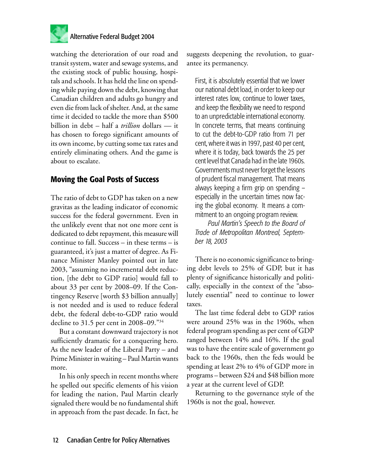

watching the deterioration of our road and transit system, water and sewage systems, and the existing stock of public housing, hospitals and schools. It has held the line on spending while paying down the debt, knowing that Canadian children and adults go hungry and even die from lack of shelter. And, at the same time it decided to tackle the more than \$500 billion in debt – half a *trillion* dollars — it has chosen to forego significant amounts of its own income, by cutting some tax rates and entirely eliminating others. And the game is about to escalate.

#### **Moving the Goal Posts of Success**

The ratio of debt to GDP has taken on a new gravitas as the leading indicator of economic success for the federal government. Even in the unlikely event that not one more cent is dedicated to debt repayment, this measure will continue to fall. Success – in these terms – is guaranteed, it's just a matter of degree. As Finance Minister Manley pointed out in late 2003, "assuming no incremental debt reduction, [the debt to GDP ratio] would fall to about 33 per cent by 2008–09. If the Contingency Reserve [worth \$3 billion annually] is not needed and is used to reduce federal debt, the federal debt-to-GDP ratio would decline to 31.5 per cent in 2008–09."<sup>34</sup>

But a constant downward trajectory is not sufficiently dramatic for a conquering hero. As the new leader of the Liberal Party – and Prime Minister in waiting – Paul Martin wants more.

In his only speech in recent months where he spelled out specific elements of his vision for leading the nation, Paul Martin clearly signaled there would be no fundamental shift in approach from the past decade. In fact, he suggests deepening the revolution, to guarantee its permanency.

First, it is absolutely essential that we lower our national debt load, in order to keep our interest rates low, continue to lower taxes, and keep the flexibility we need to respond to an unpredictable international economy. In concrete terms, that means continuing to cut the debt-to-GDP ratio from 71 per cent, where it was in 1997, past 40 per cent, where it is today, back towards the 25 per cent level that Canada had in the late 1960s. Governments must never forget the lessons of prudent fiscal management. That means always keeping a firm grip on spending – especially in the uncertain times now facing the global economy. It means a commitment to an ongoing program review.

*Paul Martin's Speech to the Board of Trade of Metropolitan Montreal, September 18, 2003*

There is no economic significance to bringing debt levels to 25% of GDP, but it has plenty of significance historically and politically, especially in the context of the "absolutely essential" need to continue to lower taxes.

The last time federal debt to GDP ratios were around 25% was in the 1960s, when federal program spending as per cent of GDP ranged between 14% and 16%. If the goal was to have the entire scale of government go back to the 1960s, then the feds would be spending at least 2% to 4% of GDP more in programs – between \$24 and \$48 billion more a year at the current level of GDP.

Returning to the governance style of the 1960s is not the goal, however.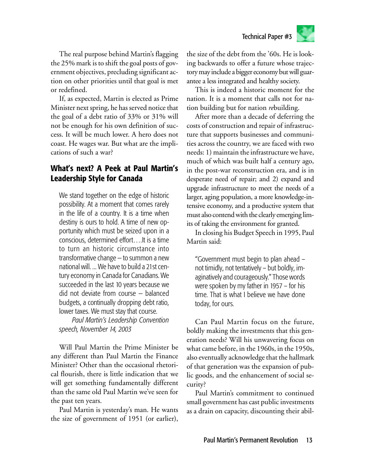The real purpose behind Martin's flagging the 25% mark is to shift the goal posts of government objectives, precluding significant action on other priorities until that goal is met or redefined.

If, as expected, Martin is elected as Prime Minister next spring, he has served notice that the goal of a debt ratio of 33% or 31% will not be enough for his own definition of success. It will be much lower. A hero does not coast. He wages war. But what are the implications of such a war?

# **What's next? A Peek at Paul Martin's Leadership Style for Canada**

We stand together on the edge of historic possibility. At a moment that comes rarely in the life of a country. It is a time when destiny is ours to hold. A time of new opportunity which must be seized upon in a conscious, determined effort….It is a time to turn an historic circumstance into transformative change — to summon a new national will. ... We have to build a 21st century economy in Canada for Canadians. We succeeded in the last 10 years because we did not deviate from course — balanced budgets, a continually dropping debt ratio, lower taxes. We must stay that course.

*Paul Martin's Leadership Convention speech, November 14, 2003*

Will Paul Martin the Prime Minister be any different than Paul Martin the Finance Minister? Other than the occasional rhetorical flourish, there is little indication that we will get something fundamentally different than the same old Paul Martin we've seen for the past ten years.

Paul Martin is yesterday's man. He wants the size of government of 1951 (or earlier),

the size of the debt from the '60s. He is looking backwards to offer a future whose trajectory may include a bigger economy but will guarantee a less integrated and healthy society.

This is indeed a historic moment for the nation. It is a moment that calls not for nation building but for nation *re*building.

After more than a decade of deferring the costs of construction and repair of infrastructure that supports businesses and communities across the country, we are faced with two needs: 1) maintain the infrastructure we have, much of which was built half a century ago, in the post-war reconstruction era, and is in desperate need of repair; and 2) expand and upgrade infrastructure to meet the needs of a larger, aging population, a more knowledge-intensive economy, and a productive system that must also contend with the clearly emerging limits of taking the environment for granted.

In closing his Budget Speech in 1995, Paul Martin said:

"Government must begin to plan ahead – not timidly, not tentatively – but boldly, imaginatively and courageously." Those words were spoken by my father in 1957 – for his time. That is what I believe we have done today, for ours.

Can Paul Martin focus on the future, boldly making the investments that this generation needs? Will his unwavering focus on what came before, in the 1960s, in the 1950s, also eventually acknowledge that the hallmark of that generation was the expansion of public goods, and the enhancement of social security?

Paul Martin's commitment to continued small government has cast public investments as a drain on capacity, discounting their abil-

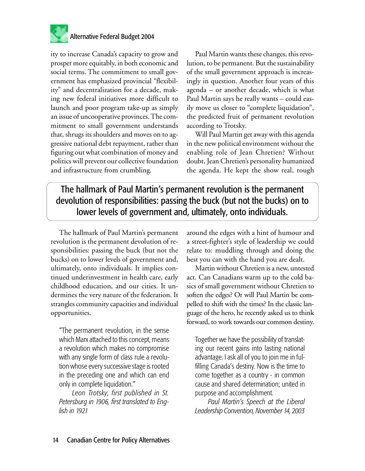

ity to increase Canada's capacity to grow and prosper more equitably, in both economic and social terms. The commitment to small government has emphasized provincial "flexibility" and decentralization for a decade, making new federal initiatives more difficult to launch and poor program take-up as simply an issue of uncooperative provinces. The commitment to small government understands that, shrugs its shoulders and moves on to aggressive national debt repayment, rather than figuring out what combination of money and politics will prevent our collective foundation and infrastructure from crumbling.

Paul Martin wants these changes, this revolution, to be permanent. But the sustainability of the small government approach is increasingly in question. Another four years of this agenda – or another decade, which is what Paul Martin says he really wants – could easily move us closer to "complete liquidation", the predicted fruit of permanent revolution according to Trotsky.

Will Paul Martin get away with this agenda in the new political environment without the enabling role of Jean Chretien? Without doubt, Jean Chretien's personality humanized the agenda. He kept the show real, rough

The hallmark of Paul Martin's permanent revolution is the permanent devolution of responsibilities: passing the buck (but not the bucks) on to lower levels of government and, ultimately, onto individuals.

The hallmark of Paul Martin's permanent revolution is the permanent devolution of responsibilities: passing the buck (but not the bucks) on to lower levels of government and, ultimately, onto individuals. It implies continued underinvestment in health care, early childhood education, and our cities. It undermines the very nature of the federation. It strangles community capacities and individual opportunities.

"The permanent revolution, in the sense which Marx attached to this concept, means a revolution which makes no compromise with any single form of class rule a revolution whose every successive stage is rooted in the preceding one and which can end only in complete liquidation."

*Leon Trotsky, first published in St. Petersburg in 1906, first translated to English in 1921*

around the edges with a hint of humour and a street-fighter's style of leadership we could relate to: muddling through and doing the best you can with the hand you are dealt.

Martin without Chretien is a new, untested act. Can Canadians warm up to the cold basics of small government without Chretien to soften the edges? Or will Paul Martin be compelled to shift with the times? In the classic language of the hero, he recently asked us to think forward, to work towards our common destiny.

Together we have the possibility of translating our recent gains into lasting national advantage. I ask all of you to join me in fulfilling Canada's destiny. Now is the time to come together as a country - in common cause and shared determination; united in purpose and accomplishment.

*Paul Martin's Speech at the Liberal Leadership Convention, November 14, 2003*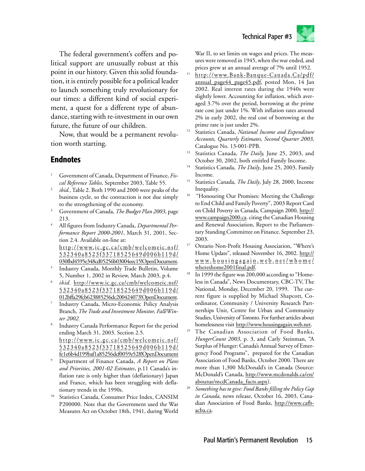

The federal government's coffers and political support are unusually robust at this point in our history. Given this solid foundation, it is entirely possible for a political leader to launch something truly revolutionary for our times: a different kind of social experiment, a quest for a different type of abundance, starting with re-investment in our own future, the future of our children.

Now, that would be a permanent revolution worth starting.

#### **Endnotes**

- Government of Canada, Department of Finance, *Fiscal Reference Tables*, September 2003, Table 55.
- 2 *ibid.,* Table 2. Both 1990 and 2000 were peaks of the business cycle, so the contraction is not due simply to the strengthening of the economy.
- <sup>3</sup> Government of Canada, *The Budget Plan 2003*, page 213.
- <sup>4</sup> All figures from Industry Canada, *Departmental Performance Report 2000-2001*, March 31, 2001, Section 2.4. Available on-line at: http://www.ic.gc.ca/cmb/welcomeic.nsf/ 53 23 4 0a8523f33718525649d006b119d/
- 030fbd4595e348cd05256b03004eec15!OpenDocument. 5 Industry Canada, Monthly Trade Bulletin, Volume
- 5, Number 1, 2002 in Review, March 2003, p.4. 6 *ibid*. http://www.ic.gc.ca/cmb/welcomeic.nsf/ 53 23 4 0a8523f33718525649d006b119d/
- 012bffa29fcb623885256dc200424073!OpenDocument. 7 Industry Canada, Micro-Economic Policy Analysis Branch, *The Trade and Investment Monitor, Fall/Winter 2002.*
- 8 Industry Canada Performance Report for the period ending March 31, 2003. Section 2.5. http://www.ic.gc.ca/cmb/welcomeic.nsf/ 53 23 4 0a8523f33718525649d006b119d/ fe1e6b4d199baf1a85256dcf0059e528!OpenDocument
- <sup>9</sup> Department of Finance Canada, *A Report on Plans and Priorities, 2001-02 Estimates*, p.11 Canada's inflation rate is only higher than (deflationary) Japan and France, which has been struggling with deflationary trends in the 1990s.
- <sup>10</sup> Statistics Canada, Consumer Price Index, CANSIM P200000. Note that the Government used the War Measures Act on October 18th, 1941, during World

War II, to set limits on wages and prices. The measures were removed in 1945, when the war ended, and prices grew at an annual average of 7% until 1952.

- <sup>11</sup> http://www.Bank-Banque-Canada.Ca/pdf/ annual\_page44\_page45.pdf, posted Mon, 14 Jan 2002. Real interest rates during the 1940s were slightly lower. Accounting for inflation, which averaged 3.7% over the period, borrowing at the prime rate cost just under 1%. With inflation rates around 2% in early 2002, the real cost of borrowing at the prime rate is just under 2%.
- <sup>12</sup> Statistics Canada, *National Income and Expenditure Accounts, Quarterly Estimates, Second Quarter 2003,* Catalogue No. 13-001-PPB.
- <sup>13</sup> Statistics Canada, *The Daily,* June 25, 2003, and October 30, 2002, both entitled Family Income.
- <sup>14</sup> Statistics Canada, *The Daily*, June 25, 2003, Family Income.
- <sup>15</sup> Statistics Canada, *The Daily*, July 28, 2000, Income Inequality.
- <sup>16</sup> "Honouring Our Promises: Meeting the Challenge to End Child and Family Poverty", 2003 Report Card on Child Poverty in Canada, Campaign 2000, http:// www.campaign2000.ca. citing the Canadian Housing and Renewal Association, Report to the Parliamentary Standing Committee on Finance. September 23, 2003.
- <sup>17</sup> Ontario Non-Profit Housing Association, "Where's Home Update", released November 16, 2002. http://  $\underline{w}\,\underline{w}\,\underline{w}\,\underline{v}\,\underline{h}\,\underline{o}\,\underline{u}\,\underline{s}\,\underline{i}\,\underline{n}\,\underline{g}\,\underline{a}\,\underline{i}\,\underline{n}\,\underline{v}\,\underline{w}\,\underline{e}\,\underline{b}\,\underline{n}\,\underline{e}\,\underline{t}\,\underline{\ell}\,\underline{w}\,\underline{h}\,\underline{o}\,\underline{m}\,\underline{e}\,\underline{\ell}$ whereshome2001final.pdf.
- <sup>18</sup> In 1999 the figure was 200,000 according to "Homeless in Canada", News Documentary, CBC-TV, The National, Monday, December 20, 1999. The current figure is supplied by Michael Shapcott, Coordinator, Community / University Research Partnerships Unit, Centre for Urban and Community Studies, University of Toronto. For further articles about homelessness visit http://www.housingagain.web.net.
- <sup>19</sup> The Canadian Association of Food Banks, *HungerCount 2003*, p. 3, and Carly Steinman, "A Surplus of Hunger: Canada's Annual Survey of Emergency Food Programs", prepared for the Canadian Association of Food Banks, October 2000. There are more than 1,300 McDonald's in Canada (Source: McDonald's Canada, http://www.mcdonalds.ca/en/ aboutus/mcdCanada\_facts.aspx).
- <sup>20</sup> *Something has to give: Food Banks filling the Policy Gap in Canada*, news release, October 16, 2003, Canadian Association of Food Banks, http://www.cafbacba.ca.